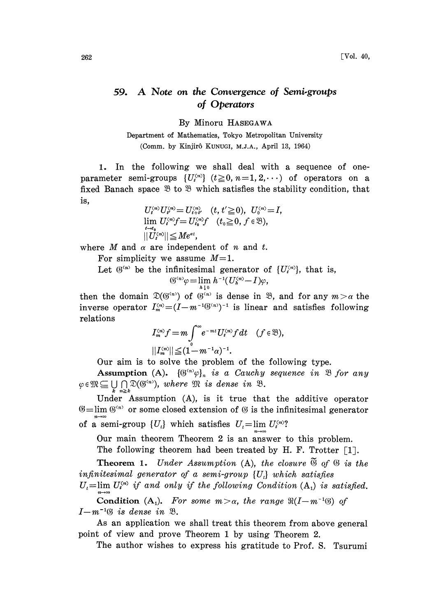## 59. A Note on the Convergence of Semi.groups of Operators

By Minoru HASEGAWA

Department of Mathematics, Tokyo Metropolitan University (Comm. by Kinjirô KUNUGI, M.J.A., April 13, 1964)

1. In the following we shall deal with a sequence of oneparameter semi-groups  $\{U_i^{(n)}\}$   $(t\geq 0, n=1, 2, \cdots)$  of operators on a fixed Banach space  $\mathcal{B}$  to  $\mathcal{B}$  which satisfies the stability condition, that is,

$$
U_i^{(n)} U_{i'}^{(n)} = U_{i+i'}^{(n)} \quad (t, t' \ge 0), \ \ U_0^{(n)} = I,
$$
  
\n
$$
\lim_{t \to t_0} U_i^{(n)} f = U_{t_0}^{(n)} f \quad (t_0 \ge 0, f \in \mathfrak{B}),
$$
  
\n
$$
||U_i^{(n)}|| \le Me^{at},
$$

where  $M$  and  $\alpha$  are independent of  $n$  and  $t$ .

For simplicity we assume  $M=1$ .

Let  $\mathfrak{G}^{(n)}$  be the infinitesimal generator of  $\{U_i^{(n)}\}$ , that is,

$$
(\mathfrak{G}^{\langle n\rangle}\varphi=\lim_{h\downarrow 0} h^{-1}(U_{h}^{\langle n\rangle}-I)\varphi,
$$

then the domain  $\mathfrak{D}(\mathfrak{G}^{(n)})$  of  $\mathfrak{G}^{(n)}$  is dense in  $\mathfrak{B}$ , and for any  $m > \alpha$  the inverse operator  $I_m^{(n)} = (I - m^{-1}(S^{(n)})^{-1}$  is linear and satisfies following relations relations

$$
I_m^{(n)}f = m \int_0^\infty e^{-mt} U_t^{(n)} f dt \quad (f \in \mathfrak{B}),
$$
  

$$
||I_m^{(n)}|| \leq (1 - m^{-1}\alpha)^{-1}.
$$

Our aim is to solve the problem of the following type.

Assumption (A).  $\{\mathfrak{G}^{(n)}\varphi\}_n$  is a Cauchy sequence in  $\mathfrak{B}$  for any  $\varphi \in \mathfrak{M} \subseteq \bigcup \bigcap \mathfrak{D}(\mathfrak{G}^{(n)})$ , where  $\mathfrak{M}$  is dense in  $\mathfrak{B}$ .

Under Assumption (A), is it true that the additive operator  $\mathfrak{G}=\lim \mathfrak{G}^{(n)}$  or some closed extension of  $\mathfrak{G}$  is the infinitesimal generator of a semi-group  $\{U_i\}$  which satisfies  $U_i$ =lim  $U_i^{(n)}$ ?

Our main theorem Theorem 2 is an answer to this problem.

The following theorem had been treated by H. F. Trotter  $\lceil 1 \rceil$ .

Theorem 1. Under Assumption (A), the closure  $\widetilde{\mathfrak{G}}$  of  $\mathfrak{G}$  is the infinitesimal generator of a semi-group  $\{U_i\}$  which satisfies

 $U_t = \lim U_i^{(n)}$  if and only if the following Condition  $(A_1)$  is satisfied.

Condition (A<sub>1</sub>). For some  $m > \alpha$ , the range  $\Re(I-m^{-1}(\S)$  of  $I-m^{-1}\mathfrak{G}$  is dense in  $\mathfrak{B}.$ 

As an application we shall treat this theorem from above general point of view and prove Theorem <sup>1</sup> by using Theorem 2.

The author wishes to express his gratitude to Prof. S. Tsurumi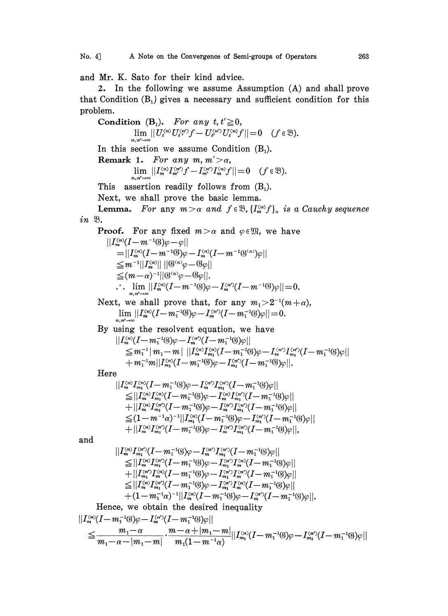and Mr. K. Sato for their kind advice.

 $\it in$ 

2. In the following we assume Assumption (A) and shall prove that Condition  $(B_1)$  gives a necessary and sufficient condition for this problem.

Condition (B<sub>1</sub>). For any 
$$
t, t \ge 0
$$
,  
\n $\lim_{n,m' \to \infty} |U_t^{(n)}U_t^{(n)}f - U_t^{(n')}U_t^{(n)}f|| = 0$   $(f \in \mathcal{B})$ .  
\nIn this section we assume Condition (B<sub>1</sub>).  
\nRemark 1. For any  $m, m' > \alpha$ ,  
\n $\lim_{n,m' \to \infty} |[I_m^{(n)}I_m^{(n')}f - I_m^{(n')}I_m^{(n)}f]|| = 0$   $(f \in \mathcal{B})$ .  
\nThis assertion readily follows from (B<sub>1</sub>).  
\nNext, we shall prove the basic lemma.  
\nLemma. For any  $m > \alpha$  and  $f \in \mathcal{B}$ ,  $\{I_m^{(n)}f\}$ , is a Cauchy sequence  
\n $in \mathcal{B}$ .  
\nProof. For any fixed  $m > \alpha$  and  $\varphi \in \mathcal{B}$ , we have  
\n $||I_m^{(n)}(I - m^{-1}(\mathcal{B})\varphi - I_m^{(n)}(I - m^{-1}(\mathcal{B}^{(n)})\varphi||$   
\n $\leq |m^{-1}||I_m^{(n)}|| ||\mathcal{B}^{(n)}\varphi - \mathcal{B}\varphi||$ .  
\n $\therefore$   $\lim_{n,m' \to \infty} |I_m^{(n)}(I - m^{-1}(\mathcal{B})\varphi - I_m^{(n)}(I - m^{-1}(\mathcal{B}^{(n)})\varphi|| = 0$ .  
\nNext, we shall prove that, for any  $m_1 > 2^{-1}(m + \alpha)$ ,  
\n $\lim_{n,m' \to \infty} ||I_m^{(n)}(I - m_1^{-1}(\mathcal{B})\varphi - I_m^{(n)}(I - m_1^{-1}(\mathcal{B})\varphi|| = 0$ .  
\nNext, we shall prove that, for any  $m_1 > 2^{-1}(m + \alpha)$ ,  
\n $\lim_{n,m' \to \infty} ||I_m^{(n)}(I - m_1^{-1}(\mathcal{B})\varphi - I_m^{(n)}(I - m_1^{-1}(\mathcal{B})\varphi|| = 0$ .  
\nBy using the resolvent equation, we have  
\n $||I_m^{(n$ 

Hence, we obtain the desired inequality<br>  $||I_m^{(n)}(I - m_1^{-1} \mathcal{B})\varphi - I_m^{(n')}(I - m_1^{-1} \mathcal{B})\varphi||$ <br>  $\leq \frac{m_1 - \alpha}{m_1 - \alpha - |m_1 - m|} \cdot \frac{m - \alpha + |m_1 - m|}{m_1(1 - m_1^{-1}\alpha)} ||I_{m_1}^{(n)}(I - m_1^{-1} \mathcal{B})\varphi - I_{m_1}^{(n')}(I - m_1^{-1} \mathcal{B})\varphi||$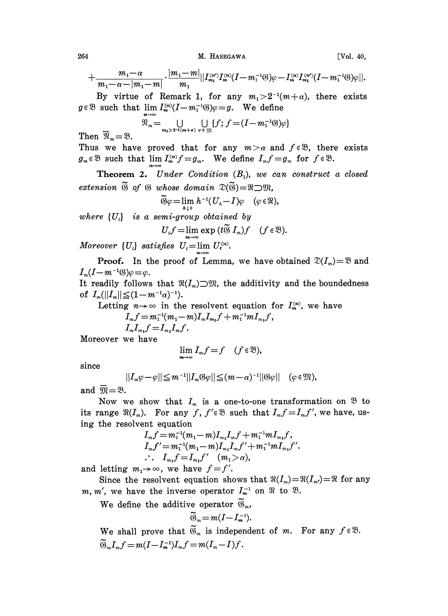264 M. HASEGAWA [Vol. 40,

M. HASEGAWA [Vol. 40,  
\n
$$
+\frac{m_1-\alpha}{m_1-\alpha-|m_1-m|} \cdot \frac{|m_1-m|}{m_1} ||I_{m_1}^{(m')}I_m^{(n)}(I-m_1^{-1} \mathcal{B})\varphi - I_m^{(n)}I_{m_1}^{(n')} (I-m_1^{-1} \mathcal{B})\varphi||.
$$
\nBy virtue of Remark 1, for any  $m_1 > 2^{-1}(m+\alpha)$ , there exists

By virtue of Remark 1, for any  $m_1 > 2^{-1}$ <br> $g \in \mathfrak{B}$  such that  $\lim_{n \to \infty} I_m^{(n)}(I-m_1^{-1}(\mathfrak{B})\varphi = g$ . We define

$$
\mathfrak{N}_m = \bigcup_{m_1 > 2^{-1}(m+a)} \bigcup_{\varphi \in \mathfrak{M}} \{f; f = (I - m_1^{-1} \mathfrak{B}) \varphi\}
$$

Then  $\overline{\mathfrak{N}}_m = \mathfrak{B}$ .

Thus we have proved that for any  $m > \alpha$  and  $f \in \mathcal{B}$ , there exists  $g_m \in \mathfrak{B}$  such that  $\lim_{m} I_m^{(m)} f = g_m$ . We define  $I_m f = g_m$  for  $f \in \mathfrak{B}$ .

**Theorem 2.** Under Condition  $(B_1)$ , we can construct a closed extension  $\widetilde{\mathfrak{G}}$  of  $\mathfrak{G}$  whose domain  $\mathfrak{D}(\widetilde{\mathfrak{G}})=\mathfrak{R}\supset \mathfrak{M}$ ,<br> $\widetilde{\mathfrak{G}}\omega=\lim h^{-1}(U,-I)\omega$  ( $\omega\in\mathfrak{M}$ 

$$
\widetilde{\mathfrak{G}} \varphi = \lim_{h \to 0} h^{-1} (U_h - I) \varphi \quad (\varphi \in \mathfrak{N}),
$$

where  $\{U_t\}$  is a semi-group obtained by

$$
U_t f = \lim_{m \to \infty} \exp(t \widetilde{\otimes} I_m) f \quad (f \in \mathfrak{B}).
$$

Moreover  $\{U_i\}$  satisfies  $U_i = \lim U_i^{(n)}$ .

**Proof.** In the proof of Lemma, we have obtained  $\mathfrak{D}(I_m)=\mathfrak{B}$  and  $I_m(I-m^{-1}(\mathcal{Y})\varphi=\varphi.$ <br>It readily follows that  $\Re(I_m)\supset\mathfrak{M}$ , the additivity and the boundedness

of  $I_m(||I_m|| \leq (1-m^{-1}\alpha)^{-1}).$ 

Letting  $n \to \infty$  in the resolvent equation for  $I_m^{(n)}$ , we have  $I_m f = m_1^{-1} (m_1 - m) I_m I_{m_1} f + m_1^{-1} m I_{m_1} f$ ,

$$
I_m f = m_1^{-1} (m_1 - m) I_m I_{m_1} f + m_1^{-1} m I_{m_1} f,
$$
  
\n
$$
I_m I_{m_1} f = I_m I_m f.
$$

Moreover we have

$$
\lim_{m\to\infty}I_m f=f\quad (f\in\mathfrak{B}),
$$

since

$$
||I_m\varphi-\varphi||\leq m^{-1}||I_m\mathfrak{G}\varphi||\leq (m-\alpha)^{-1}||\mathfrak{G}\varphi||\quad(\varphi\in\mathfrak{M}),
$$

and  $\overline{\mathfrak{M}}=\mathfrak{B}$ .

Now we show that  $I_m$  is a one-to-one transformation on  $\mathfrak{B}$  to its range  $\Re(I_m)$ . For any f,  $f' \in \mathcal{B}$  such that  $I_m f = I_m f'$ , we have, using the resolvent equation

$$
I_m f = m_1^{-1} (m_1 - m) I_{m_1} I_m f + m_1^{-1} m I_{m_1} f,
$$
  
\n
$$
I_m f' = m_1^{-1} (m_1 - m) I_{m_1} I_m f' + m_1^{-1} m I_{m_1} f'.
$$
  
\n
$$
\therefore I_{m_1} f = I_{m_1} f' \quad (m_1 > \alpha),
$$

and letting  $m_1 \rightarrow \infty$ , we have  $f = f'$ .

Since the resolvent equation shows that  $\Re(I_m)=\Re(I_m)=\Re$  for any  $m, m'$ , we have the inverse operator  $I_m^{-1}$  on  $\Re$  to  $\Re$ .

We define the additive operator  $\widetilde{\mathfrak{G}}_m$ ,

$$
\widetilde{\mathfrak{G}}_m\!=\!m(I\!-\!I_m^{-1}).
$$

We shall prove that  $\widetilde{\mathfrak{G}}_m$  is independent of m. For any  $f \in \mathfrak{B}$ .  $\widetilde{\mathfrak{G}}_m I_m f = m(I - I_m^{-1})I_m f = m(I_m - I)f$ .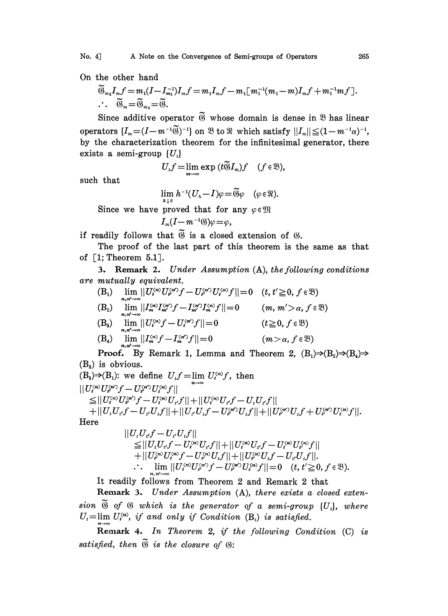On the other hand

$$
\widetilde{\mathfrak{G}}_{m_1}I_mf = m_1(I - I_{m_1}^{-1})I_mf = m_1I_mf - m_1[m_1^{-1}(m_1 - m)I_mf + m_1^{-1}mf].
$$
  

$$
\widetilde{\mathfrak{G}}_m = \widetilde{\mathfrak{G}}_{m_1} = \widetilde{\mathfrak{G}}.
$$

Since additive operator  $\widetilde{\mathfrak{G}}$  whose domain is dense in  $\mathfrak{B}$  has linear operators  $\{I_m=(I-m^{-1}\widetilde{\mathfrak{B}})^{-1}\}$  on  $\mathfrak{B}$  to  $\mathfrak{R}$  which satisfy  $||I_m|| \leq (1-m^{-1}\alpha)^{-1}$ , by the characterization theorem for the infinitesimal generator, there exists a semi-group  $\{U_i\}$ 

$$
U_t f = \lim_{m \to \infty} \exp(t \widetilde{\otimes} I_m) f \quad (f \in \mathfrak{B}),
$$

such that

$$
\lim_{h \downarrow 0} h^{-1}(U_h - I)\varphi = \widetilde{\mathfrak{G}}\varphi \quad (\varphi \in \mathfrak{N}).
$$

Since we have proved that for any  $\varphi \in \mathfrak{M}$ 

$$
I_m(I-m^{-1} \mathcal{B})\varphi = \varphi,
$$

if readily follows that  $\widetilde{\mathfrak{B}}$  is a closed extension of  $\mathfrak{G}$ .

The proof of the last part of this theorem is the same as that of  $\lceil 1;$  Theorem 5.1.

3. Remark 2. Under Assumption (A), the following conditions are mutually equivalent.

- (B<sub>1</sub>) lim  $||U_i^{(n)}U_{i'}^{(n)}f U_{i'}^{(n)}U_i^{(n)}f|| = 0$   $(t, t' \ge 0, f \in \mathcal{B})$  $\lim_{m,m \to \infty} \frac{m!}{|I_m^{(m)}I_m^{(m)}f - I_{m'}^{(m)}I_m^{(n)}}f|| = 0$  (*m*, *m'* > *a*, *f*  $\in \mathfrak{B}$ )  $(B_2)$
- (B<sub>a</sub>)  $\lim_{t \to \infty} ||U_i^{(m)}f U_i^{(m)}f|| = 0$  (t \ge 0, f) (B<sub>4</sub>)  $\lim_{m} ||I_{m}^{(n)}f - I_{m}^{(n)}f|| = 0$  (m

**Proof.** By Remark 1, Lemma and Theorem 2,  $(B_1) \Rightarrow (B_2) \Rightarrow (B_4) \Rightarrow$  $(B_3)$  is obvious.

 $(B_3) \Rightarrow (B_1)$ : we define  $U_t f = \lim_{n \to \infty} U_i^{(n)} f$ , then<br>  $||U_i^{(n)} U_i^{(n')} f - U_i^{(n')} U_i^{(n)} f||$ <br>  $\lt ||U_i^{(n)} U_i^{(n')} f - U_i^{(n)} U_i^{(n)} H|| + ||U_i^{(n)} U_i^{(n)} f - U_i^{(n)} H||$  $\leq ||U_i^{(n)}U_{i'}^{(n')}f-U_i^{(n)}U_{i'}f|| + ||U_i^{(n)}U_{i'}f-U_iU_{i'}f||$  $+||U_iU_{i'}f-U_{i'}U_{i}f||+||U_{i'}U_{i}f-U_{i'}^{(n')}U_{i}f||+||U_{i'}^{(n')}U_{i}f+U_{i'}^{(n')}U_{i}^{(n)}f||.$ 

Here

$$
||U_tU_{t'}f - U_{t'}U_tf||
$$
  
\n
$$
\leq ||U_tU_{t'}f - U_t^{\langle n \rangle}U_{t'}f|| + ||U_t^{\langle n \rangle}U_{t'}f - U_t^{\langle n \rangle}U_{t'}^{\langle n \rangle}f||
$$
  
\n
$$
+ ||U_t^{\langle n \rangle}U_t^{\langle n \rangle}f - U_t^{\langle n \rangle}U_tf|| + ||U_t^{\langle n \rangle}U_tf - U_{t'}U_tf||.
$$
  
\n
$$
\therefore \lim_{n \to \infty} ||U_t^{\langle n \rangle}U_t^{\langle n \rangle}f - U_t^{\langle n \rangle}U_t^{\langle n \rangle}f|| = 0 \quad (t, t' \geq 0, f \in \mathbb{R}).
$$

It readily follows from Theorem 2 and Remark 2 that

Remark 3. Under Assumption  $(A)$ , there exists a closed extension  $\widetilde{\mathfrak{G}}$  of  $\mathfrak G$  which is the generator of a semi-group  $\{U_t\}$ , where  $U_t = \lim U_i^{(n)}$ , if and only if Condition (B<sub>i</sub>) is satisfied.

Remark 4. In Theorem 2, if the following Condition (C) is satisfied, then  $\widetilde{\mathfrak{B}}$  is the closure of  $\mathfrak{B}$ :